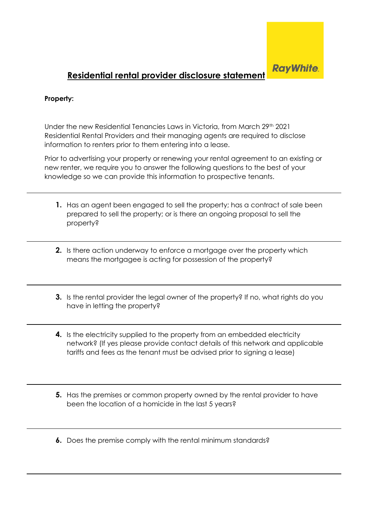

## **Residential rental provider disclosure statement**

## **Property:**

Under the new Residential Tenancies Laws in Victoria, from March 29<sup>th</sup> 2021 Residential Rental Providers and their managing agents are required to disclose information to renters prior to them entering into a lease.

Prior to advertising your property or renewing your rental agreement to an existing or new renter, we require you to answer the following questions to the best of your knowledge so we can provide this information to prospective tenants.

- **1.** Has an agent been engaged to sell the property; has a contract of sale been prepared to sell the property; or is there an ongoing proposal to sell the property?
- **2.** Is there action underway to enforce a mortgage over the property which means the mortgagee is acting for possession of the property?
- **3.** Is the rental provider the legal owner of the property? If no, what rights do you have in letting the property?
- **4.** Is the electricity supplied to the property from an embedded electricity network? (If yes please provide contact details of this network and applicable tariffs and fees as the tenant must be advised prior to signing a lease)
- **5.** Has the premises or common property owned by the rental provider to have been the location of a homicide in the last 5 years?
- **6.** Does the premise comply with the rental minimum standards?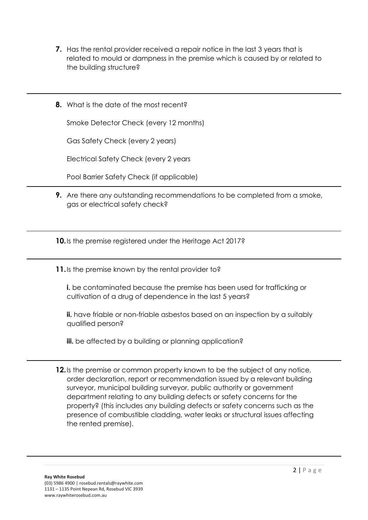- **7.** Has the rental provider received a repair notice in the last 3 years that is related to mould or dampness in the premise which is caused by or related to the building structure?
- **8.** What is the date of the most recent?

Smoke Detector Check (every 12 months)

Gas Safety Check (every 2 years)

Electrical Safety Check (every 2 years

Pool Barrier Safety Check (if applicable)

**9.** Are there any outstanding recommendations to be completed from a smoke, gas or electrical safety check?

**10.**Is the premise registered under the Heritage Act 2017?

**11.**Is the premise known by the rental provider to?

**i.** be contaminated because the premise has been used for trafficking or cultivation of a drug of dependence in the last 5 years?

**ii.** have friable or non-friable asbestos based on an inspection by a suitably qualified person?

**iii.** be affected by a building or planning application?

**12.**Is the premise or common property known to be the subject of any notice, order declaration, report or recommendation issued by a relevant building surveyor, municipal building surveyor, public authority or government department relating to any building defects or safety concerns for the property? (this includes any building defects or safety concerns such as the presence of combustible cladding, water leaks or structural issues affecting the rented premise).